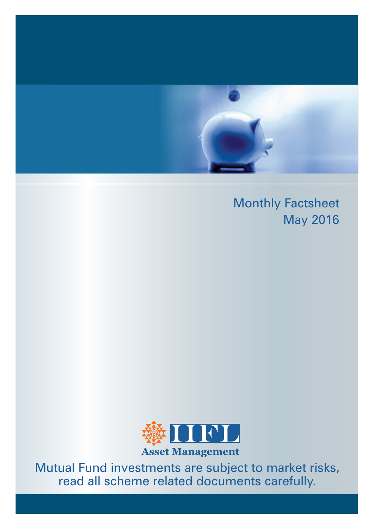

## Monthly Factsheet May 2016



**Asset Management**

Mutual Fund investments are subject to market risks, read all scheme related documents carefully.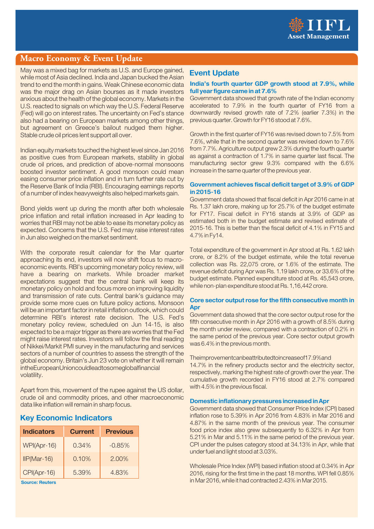

### **Macro Economy & Event Update**

May was a mixed bag for markets as U.S. and Europe gained, while most of Asia declined. India and Japan bucked the Asian trend to end the month in gains. Weak Chinese economic data was the major drag on Asian bourses as it made investors anxious about the health of the global economy. Markets in the U.S. reacted to signals on which way the U.S. Federal Reserve (Fed) will go on interest rates. The uncertainty on Fed's stance also had a bearing on European markets among other things, but agreement on Greece's bailout nudged them higher. Stable crude oil prices lent support all over.

Indian equity markets touched the highest level since Jan 2016 as positive cues from European markets, stability in global crude oil prices, and prediction of above-normal monsoons boosted investor sentiment. A good monsoon could mean easing consumer price inflation and in turn further rate cut by the Reserve Bank of India (RBI). Encouraging earnings reports of a number of index heavyweights also helped markets gain.

Bond yields went up during the month after both wholesale price inflation and retail inflation increased in Apr leading to worries that RBI may not be able to ease its monetary policy as expected. Concerns that the U.S. Fed may raise interest rates in Jun also weighed on the market sentiment.

With the corporate result calendar for the Mar quarter approaching its end, investors will now shift focus to macroeconomic events. RBI's upcoming monetary policy review, will have a bearing on markets. While broader market expectations suggest that the central bank will keep its monetary policy on hold and focus more on improving liquidity and transmission of rate cuts. Central bank's guidance may provide some more cues on future policy actions. Monsoon will be an important factor in retail inflation outlook, which could determine RBI's interest rate decision. The U.S. Fed's monetary policy review, scheduled on Jun 14-15, is also expected to be a major trigger as there are worries that the Fed might raise interest rates. Investors will follow the final reading of Nikkei/Markit PMI survey in the manufacturing and services sectors of a number of countries to assess the strength of the global economy. Britain's Jun 23 vote on whether it will remain in the European Union could lead to some global financial volatility.

Apart from this, movement of the rupee against the US dollar, crude oil and commodity prices, and other macroeconomic data like inflation will remain in sharp focus.

### **Key Economic Indicators**

| <b>Indicators</b> | <b>Current</b> | <b>Previous</b> |
|-------------------|----------------|-----------------|
| WPI(Apr-16)       | 0.34%          | $-0.85%$        |
| $IP(Mar-16)$      | 0.10%          | 2.00%           |
| CPI(Apr-16)       | 5.39%          | 4.83%           |

**Source: Reuters**

### **Event Update**

### India's fourth quarter GDP growth stood at 7.9%, while **full year figure came in at 7.6%**

Government data showed that growth rate of the Indian economy accelerated to 7.9% in the fourth quarter of FY16 from a downwardly revised growth rate of 7.2% (earlier 7.3%) in the previous quarter. Growth for FY16 stood at 7.6%.

Growth in the first quarter of FY16 was revised down to 7.5% from 7.6%, while that in the second quarter was revised down to 7.6% from 7.7%. Agriculture output grew 2.3% during the fourth quarter as against a contraction of 1.7% in same quarter last fiscal. The manufacturing sector grew 9.3% compared with the 6.6% increase in the same quarter of the previous year.

### **Government achieves fiscal deficit target of 3.9% of GDP in 2015-16**

Government data showed that fiscal deficit in Apr 2016 came in at Rs. 1.37 lakh crore, making up for 25.7% of the budget estimate for FY17. Fiscal deficit in FY16 stands at 3.9% of GDP as estimated both in the budget estimate and revised estimate of 2015-16. This is better than the fiscal deficit of 4.1% in FY15 and 4.7% in Fy14.

Total expenditure of the government in Apr stood at Rs. 1.62 lakh crore, or 8.2% of the budget estimate, while the total revenue collection was Rs. 22,075 crore, or 1.6% of the estimate. The revenue deficit during Apr was Rs. 1.19 lakh crore, or 33.6% of the budget estimate. Planned expenditure stood at Rs. 45,543 crore, while non-plan expenditure stood at Rs. 1,16,442 crore.

### **Core sector output rose for the fifth consecutive month in Apr**

Government data showed that the core sector output rose for the fifth consecutive month in Apr 2016 with a growth of 8.5% during the month under review, compared with a contraction of 0.2% in the same period of the previous year. Core sector output growth was 6.4% in the previous month.

### The improvement can be attributed to increase of 17.9% and

14.7% in the refinery products sector and the electricity sector, respectively, marking the highest rate of growth over the year. The cumulative growth recorded in FY16 stood at 2.7% compared with 4.5% in the previous fiscal.

### **Domestic inflationary pressures increased in Apr**

Government data showed that Consumer Price Index (CPI) based inflation rose to 5.39% in Apr 2016 from 4.83% in Mar 2016 and 4.87% in the same month of the previous year. The consumer food price index also grew subsequently to 6.32% in Apr from 5.21% in Mar and 5.11% in the same period of the previous year. CPI under the pulses category stood at 34.13% in Apr, while that under fuel and light stood at 3.03%.

Wholesale Price Index (WPI) based inflation stood at 0.34% in Apr 2016, rising for the first time in the past 18 months. WPI fell 0.85% in Mar 2016, while it had contracted 2.43% in Mar 2015.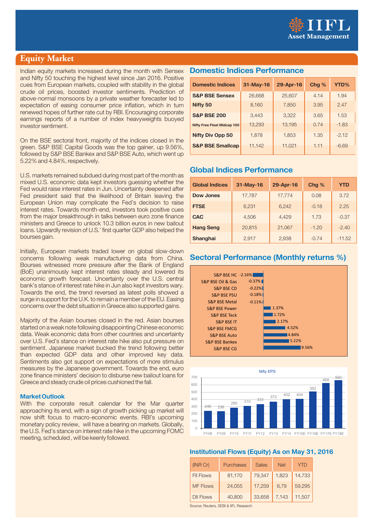

### **Equity Market**

Indian equity markets increased during the month with Sensex and Nifty 50 touching the highest level since Jan 2016. Positive cues from European markets, coupled with stability in the global crude oil prices, boosted investor sentiments. Prediction of above-normal monsoons by a private weather forecaster led to expectation of easing consumer price inflation, which in turn renewed hopes of further rate cut by RBI. Encouraging corporate earnings reports of a number of index heavyweights buoyed investor sentiment.

On the BSE sectoral front, majority of the indices closed in the green. S&P BSE Capital Goods was the top gainer, up 9.56%, followed by S&P BSE Bankex and S&P BSE Auto, which went up 5.22% and 4.84%, respectively.

U.S. markets remained subdued during most part of the month as mixed U.S. economic data kept investors guessing whether the Fed would raise interest rates in Jun. Uncertainty deepened after Fed president said that the likelihood of Britain leaving the European Union may complicate the Fed's decision to raise interest rates. Towards month-end, investors took positive cues from the major breakthrough in talks between euro zone finance ministers and Greece to unlock 10.3 billion euros in new bailout loans. Upwardly revision of U.S.' first quarter GDP also helped the bourses gain.

Initially, European markets traded lower on global slow-down concerns following weak manufacturing data from China. Bourses witnessed more pressure after the Bank of England (BoE) unanimously kept interest rates steady and lowered its economic growth forecast. Uncertainty over the U.S. central bank's stance of interest rate hike in Jun also kept investors wary. Towards the end, the trend reversed as latest polls showed a surge in support for the U.K. to remain a member of the EU. Easing concerns over the debt situation in Greece also supported gains.

Majority of the Asian bourses closed in the red. Asian bourses started on a weak note following disappointing Chinese economic data. Weak economic data from other countries and uncertainty over U.S. Fed's stance on interest rate hike also put pressure on sentiment. Japanese market bucked the trend following better than expected GDP data and other improved key data. Sentiments also got support on expectations of more stimulus measures by the Japanese government. Towards the end, euro zone finance ministers' decision to disburse new bailout loans for Greece and steady crude oil prices cushioned the fall.

### **Market Outlook**

With the corporate result calendar for the Mar quarter approaching its end, with a sign of growth picking up market will now shift focus to macro-economic events. RBI's upcoming monetary policy review, will have a bearing on markets. Globally, the U.S. Fed's stance on interest rate hike in the upcoming FOMC meeting, scheduled , will be keenly followed.

### **Domestic Indices Performance**

| <b>Domestic Indices</b>            | 31-May-16 | 29-Apr-16 | Chg % | YTD%    |
|------------------------------------|-----------|-----------|-------|---------|
| <b>S&amp;P BSE Sensex</b>          | 26,668    | 25,607    | 4.14  | 1.94    |
| Nifty 50                           | 8,160     | 7,850     | 3.95  | 2.47    |
| <b>S&amp;P BSE 200</b>             | 3.443     | 3.322     | 3.65  | 1.53    |
| <b>Nifty Free Float Midcap 100</b> | 13,293    | 13,195    | 0.74  | $-1.83$ |
| <b>Nifty Div Opp 50</b>            | 1,878     | 1,853     | 1.35  | $-2.12$ |
| <b>S&amp;P BSE Smallcap</b>        | 11,142    | 11,021    | 1.11  | $-6.69$ |

### **Global Indices Performance**

| <b>Global Indices</b> | 31-May-16 | 29-Apr-16 | Chg %   | <b>YTD</b> |
|-----------------------|-----------|-----------|---------|------------|
| <b>Dow Jones</b>      | 17,787    | 17,774    | 0.08    | 3.72       |
| <b>FTSE</b>           | 6,231     | 6,242     | $-0.18$ | 2.25       |
| <b>CAC</b>            | 4.506     | 4.429     | 1.73    | $-0.37$    |
| <b>Hang Seng</b>      | 20,815    | 21,067    | $-1.20$ | $-2.40$    |
| <b>Shanghai</b>       | 2,917     | 2,938     | $-0.74$ | $-11.52$   |

### **Sectoral Performance (Monthly returns %)**





### **Institutional Flows (Equity) As on May 31, 2016**

| (INR Cr)         | Purchases | <b>Sales</b> | <b>Net</b> | Y I D  |
|------------------|-----------|--------------|------------|--------|
| <b>FII Flows</b> | 81,170    | 79,347       | 1,823      | 14,733 |
| <b>MF Flows</b>  | 24,055    | 17,259       | 6,79       | 59,295 |
| <b>DII Flows</b> | 40,800    | 33,658       | 7,143      | 11,507 |

Source: Reuters, SEBI & IIFL Research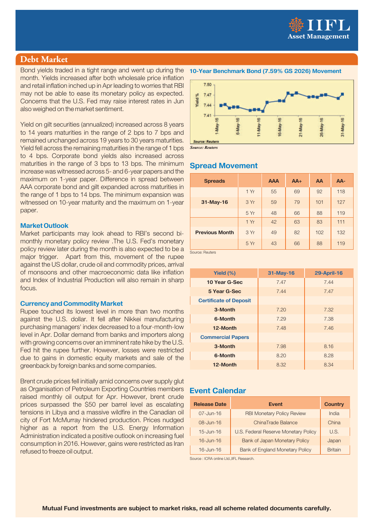

### **Debt Market**

Bond yields traded in a tight range and went up during the month. Yields increased after both wholesale price inflation and retail inflation inched up in Apr leading to worries that RBI may not be able to ease its monetary policy as expected. Concerns that the U.S. Fed may raise interest rates in Jun also weighed on the market sentiment.

Yield on gilt securities (annualized) increased across 8 years to 14 years maturities in the range of 2 bps to 7 bps and remained unchanged across 19 years to 30 years maturities. Yield fell across the remaining maturities in the range of 1 bps to 4 bps. Corporate bond yields also increased across maturities in the range of 3 bps to 13 bps. The minimum increase was witnessed across 5- and 6-year papers and the maximum on 1-year paper. Difference in spread between AAA corporate bond and gilt expanded across maturities in the range of 1 bps to 14 bps. The minimum expansion was witnessed on 10-year maturity and the maximum on 1-year paper.

### **Market Outlook**

Market participants may look ahead to RBI's second bimonthly monetary policy review .The U.S. Fed's monetary policy review later during the month is also expected to be a major trigger. Apart from this, movement of the rupee against the US dollar, crude oil and commodity prices, arrival of monsoons and other macroeconomic data like inflation and Index of Industrial Production will also remain in sharp focus.

### **Currency and Commodity Market**

Rupee touched its lowest level in more than two months against the U.S. dollar. It fell after Nikkei manufacturing purchasing managers' index decreased to a four-month-low level in Apr. Dollar demand from banks and importers along with growing concerns over an imminent rate hike by the U.S. Fed hit the rupee further. However, losses were restricted due to gains in domestic equity markets and sale of the greenback by foreign banks and some companies.

Brent crude prices fell initially amid concerns over supply glut as Organisation of Petroleum Exporting Countries members **Event Calendar** raised monthly oil output for Apr. However, brent crude prices surpassed the \$50 per barrel level as escalating tensions in Libya and a massive wildfire in the Canadian oil city of Fort McMurray hindered production. Prices nudged higher as a report from the U.S. Energy Information Administration indicated a positive outlook on increasing fuel consumption in 2016. However, gains were restricted as Iran refused to freeze oil output.

### **10-Year Benchmark Bond (7.59% GS 2026) Movement**



*Source: Reuters*

### **Spread Movement**

| <b>Spreads</b>        |      | <b>AAA</b> | $AA+$ | AA  | AA- |
|-----------------------|------|------------|-------|-----|-----|
|                       | 1 Yr | 55         | 69    | 92  | 118 |
| 31-May-16             | 3 Yr | 59         | 79    | 101 | 127 |
|                       | 5 Yr | 48         | 66    | 88  | 119 |
|                       | 1 Yr | 42         | 63    | 83  | 111 |
| <b>Previous Month</b> | 3 Yr | 49         | 82    | 102 | 132 |
|                       | 5 Yr | 43         | 66    | 88  | 119 |
| Source: Reuters       |      |            |       |     |     |

| Yield $(%)$                   | 31-May-16 | <b>29-April-16</b> |
|-------------------------------|-----------|--------------------|
| 10 Year G-Sec                 | 7.47      | 7.44               |
| 5 Year G-Sec                  | 7.44      | 7.47               |
| <b>Certificate of Deposit</b> |           |                    |
| 3-Month                       | 7.20      | 7.32               |
| 6-Month                       | 7.29      | 7.38               |
| 12-Month                      | 7.48      | 7.46               |
| <b>Commercial Papers</b>      |           |                    |
| 3-Month                       | 7.98      | 8.16               |
| 6-Month                       | 8.20      | 8.28               |
| 12-Month                      | 8.32      | 8.34               |

| <b>Release Date</b> | <b>Event</b>                           | <b>Country</b> |
|---------------------|----------------------------------------|----------------|
| $07 - Jun-16$       | <b>RBI Monetary Policy Review</b>      | India          |
| $08 - Jun - 16$     | ChinaTrade Balance                     | China          |
| $15 -$ Jun-16       | U.S. Federal Reserve Monetary Policy   | U.S.           |
| $16 -$ Jun-16       | <b>Bank of Japan Monetary Policy</b>   | Japan          |
| $16 -$ Jun-16       | <b>Bank of England Monetary Policy</b> | <b>Britain</b> |

Source : ICRA online Ltd.,IIFL Research.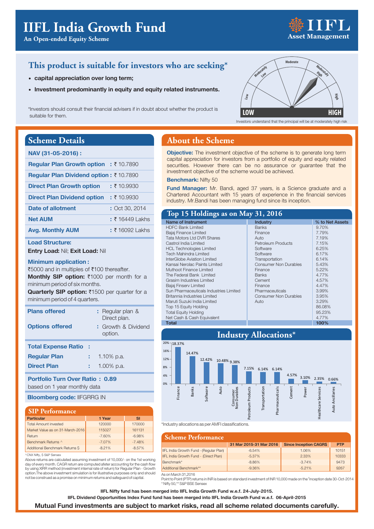# **An Open-ended Equity Scheme Asset Management**

**Modera High tely**

**High**

### **This product is suitable for investors who are seeking\***

- **capital appreciation over long term;**
- **Investment predominantly in equity and equity related instruments.**

\*Investors should consult their financial advisers if in doubt about whether the product is suitable for them.

### **Scheme Details**

| NAV (31-05-2016):                                                    |                  |
|----------------------------------------------------------------------|------------------|
| <b>Requiar Plan Growth option : <math>\bar{\tau}</math> 10.7890</b>  |                  |
| <b>Reqular Plan Dividend option: <math>\bar{\tau}</math> 10.7890</b> |                  |
| <b>Direct Plan Growth option</b>                                     | : ₹10.9930       |
| <b>Direct Plan Dividend option</b>                                   | : ₹10.9930       |
| Date of allotment                                                    | : Oct 30, 2014   |
| <b>Net AUM</b>                                                       | $: ₹164491$ akhs |
| <b>Avg. Monthly AUM</b>                                              | $: ₹160921$ akhs |

### **Load Structure:**

**Entry Load:** Nil; **Exit Load:** Nil

#### **Minimum application :**

₹5000 and in multiples of ₹100 thereafter. Monthly SIP option: ₹1000 per month for a minimum period of six months.

Quarterly SIP option: ₹1500 per quarter for a minimum period of 4 quarters.

| <b>Plans offered</b><br><b>Options offered</b> | : Regular plan &<br>Direct plan.<br>: Growth & Dividend<br>option. |
|------------------------------------------------|--------------------------------------------------------------------|
| <b>Total Expense Ratio:</b>                    |                                                                    |
| <b>Regular Plan</b>                            | 1.10% p.a.                                                         |
| <b>Direct Plan</b>                             | $1.00\%$ p.a.                                                      |

## based on 1 year monthly data

**Bloomberg code:** IIFGRRG IN

#### **SIP Performance**

| <b>Particular</b>                | 1 Year    | <b>SI</b> |
|----------------------------------|-----------|-----------|
| <b>Total Amount invested</b>     | 120000    | 170000    |
| Market Value as on 31-March-2016 | 115027    | 161131    |
| Return                           | $-7.60%$  | $-6.98%$  |
| Benchmark Returns ^              | $-7.07\%$ | $-7.48%$  |
| Additional Benchmark Returns S   | $-8.21%$  | $-8.57%$  |

#### ^CNX Nifty, \$ S&P Sensex

Above returns are calculated assuming investment of 10,000/- on the 1st working day of every month. CAGR return are computed afeter accounting for the cash flow by using XIRR method (investment internal rate of return) for Regular Plan - Growth option.The above investment simulation is for illustrative purposes only and should not be construed as a promise on minimum returns and safeguard of capital.

### **About the Scheme**

**Objective:** The investment objective of the scheme is to generate long term capital appreciation for investors from a portfolio of equity and equity related securities. However there can be no assurance or guarantee that the investment objective of the scheme would be achieved.

**Moderately Low**

**Low**

#### **Benchmark:** Nifty 50

**Fund Manager:** Mr. Bandi, aged 37 years, is a Science graduate and a Chartered Accountant with 15 years of experience in the financial services industry. Mr.Bandi has been managing fund since its inception.

### **Top 15 Holdings as on May 31, 2016**

| Name of Instrument                     | Industry                     | % to Net Assets |
|----------------------------------------|------------------------------|-----------------|
| <b>HDFC Bank Limited</b>               | <b>Banks</b>                 | 9.70%           |
| Bajaj Finance Limited                  | Finance                      | 7.79%           |
| <b>Tata Motors Ltd DVR Shares</b>      | Auto                         | 7.19%           |
| Castrol India Limited                  | <b>Petroleum Products</b>    | 7.15%           |
| <b>HCL Technologies Limited</b>        | Software                     | 6.25%           |
| <b>Tech Mahindra Limited</b>           | Software                     | 6.17%           |
| InterGlobe Aviation Limited            | Transportation               | 6.14%           |
| Kansai Nerolac Paints Limited          | <b>Consumer Non Durables</b> | 5.43%           |
| Muthoot Finance Limited                | Finance                      | 5.22%           |
| The Federal Bank Limited               | <b>Banks</b>                 | 4.77%           |
| Grasim Industries Limited              | Cement                       | 4.57%           |
| Bajaj Finserv Limited                  | Finance                      | 4.47%           |
| Sun Pharmaceuticals Industries Limited | Pharmaceuticals              | 3.99%           |
| Britannia Industries Limited           | <b>Consumer Non Durables</b> | 3.95%           |
| Maruti Suzuki India Limited            | Auto                         | 3.29%           |
| Top 15 Equity Holding                  |                              | 86.08%          |
| <b>Total Equity Holding</b>            |                              | 95.23%          |
| Net Cash & Cash Equivalent             |                              | 4.77%           |
| <b>Total</b>                           |                              | 100%            |



\*Industry allocations as per AMFI classifications.

| <b>Scheme Performance</b>              |                         |                               |            |
|----------------------------------------|-------------------------|-------------------------------|------------|
|                                        | 31 Mar 2015-31 Mar 2016 | <b>Since Inception CAGR\$</b> | <b>PTP</b> |
| IFL India Growth Fund - (Regular Plan) | $-6.54%$                | 1.06%                         | 10151      |
| IFL India Growth Fund - (Direct Plan)  | $-5.37\%$               | 2.33%                         | 10333      |
| Benchmark*                             | $-8.86\%$               | $-3.74%$                      | 9473       |
| Additional Benchmark**                 | $-9.36%$                | $-5.21%$                      | 9267       |

As on March 31,2016

Point to Point (PTP) returns in INR is based on standard investment of INR 10,000 made on the <sup>s</sup>inception date 30-Oct-2014 \* Nifty 50,\*\* S&P BSE Sensex

**IIFL Nifty fund has been merged into IIFL India Growth Fund w.e.f. 24-July-2015.**

**IIFL Dividend Opportunities Index Fund fund has been merged into IIFL India Growth Fund w.e.f. 06-April-2015**

**Mutual Fund investments are subject to market risks, read all scheme related documents carefully.**

Investors understand that the principal will be at moderately high risk **LOW HIGH**

**Moderate**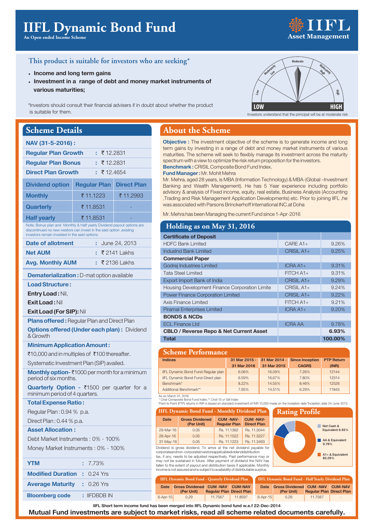# **IIFL Dynamic Bond Fund**

**An Open ended Income Scheme**

# **Asset Management**

### **This product is suitable for investors who are seeking\***

- **Income and long term gains**
- **Investment in a range of debt and money market instruments of various maturities;**

\*Investors should consult their financial advisers if in doubt about whether the product is suitable for them.

### **Scheme Details**

| <b>OCHUML D'UGHS</b>                                                                                                                                                                             |                     |                            |  |  |
|--------------------------------------------------------------------------------------------------------------------------------------------------------------------------------------------------|---------------------|----------------------------|--|--|
| NAV (31-5-2016):                                                                                                                                                                                 |                     |                            |  |  |
| <b>Regular Plan Growth</b><br>₹12.2831<br>ŧ.                                                                                                                                                     |                     |                            |  |  |
| <b>Regular Plan Bonus</b>                                                                                                                                                                        | ₹12.2831<br>۰       |                            |  |  |
| <b>Direct Plan Growth</b>                                                                                                                                                                        | $\pm 712.4654$      |                            |  |  |
| <b>Dividend option</b>                                                                                                                                                                           | <b>Regular Plan</b> | <b>Direct Plan</b>         |  |  |
| <b>Monthly</b>                                                                                                                                                                                   | ₹ 11.1223           | ₹ 11.2993                  |  |  |
| <b>Quarterly</b>                                                                                                                                                                                 | ₹ 11.8531           |                            |  |  |
| <b>Half yearly</b>                                                                                                                                                                               | ₹ 11.8531           |                            |  |  |
| Note: Bonus plan and Monthly & Half yearly Dividend payout options are<br>discontinued no new ivestors can invest in the said option, existing<br>investors remain invested in the said options. |                     |                            |  |  |
| Date of allotment                                                                                                                                                                                |                     | June 24, 2013              |  |  |
| <b>Net AUM</b>                                                                                                                                                                                   |                     | $\overline{z}$ 2141   akhs |  |  |
| <b>Avg. Monthly AUM</b>                                                                                                                                                                          | t.                  | ₹ 2136 Lakhs               |  |  |
| <b>Dematerialization: D-mat option available</b>                                                                                                                                                 |                     |                            |  |  |
| <b>Load Structure:</b>                                                                                                                                                                           |                     |                            |  |  |
| <b>Entry Load: Nil,</b>                                                                                                                                                                          |                     |                            |  |  |
| <b>Exit Load: Nil</b>                                                                                                                                                                            |                     |                            |  |  |
| <b>Exit Load (For SIP): Nil</b>                                                                                                                                                                  |                     |                            |  |  |
| <b>Plans offered:</b> Regular Plan and Direct Plan                                                                                                                                               |                     |                            |  |  |
| <b>Options offered (Under each plan): Dividend</b><br>& Growth                                                                                                                                   |                     |                            |  |  |
| <b>Minimum Application Amount:</b>                                                                                                                                                               |                     |                            |  |  |
| ₹10,000 and in multiples of ₹100 thereafter.                                                                                                                                                     |                     |                            |  |  |
| Systematic Investment Plan (SIP) availed.                                                                                                                                                        |                     |                            |  |  |

**Monthly option- ₹1000 per month for a minimum** period of six months.

**Quarterly Option - ₹1500 per quarter for a** minimum period of 4 quarters.

### **Total Expense Ratio :**

Regular Plan : 0.94 % p.a.

Direct Plan : 0.44 % p.a.

### **Asset Allocation :**

Debt Market Instruments : 0% - 100% Money Market Instruments : 0% - 100%

| <b>YTM</b>                          | $: 7.73\%$     |
|-------------------------------------|----------------|
| <b>Modified Duration : 0.24 Yrs</b> |                |
| <b>Average Maturity : 0.26 Yrs</b>  |                |
| <b>Bloomberg code</b>               | $:$ IIFDBDB IN |

### **About the Scheme**

**Objective :** The investment objective of the scheme is to generate income and long **Benchmark :**  CRISIL Composite Bond Fund Index. term gains by investing in a range of debt and money market instruments of various maturities. The scheme will seek to flexibly manage its investment across the maturity spectrum with a view to optimize the risk return proposition for the investors.

### **Fund Manager: Mr. Mohit Mehra**

Mr. Mehra, aged 28 years, is MBA (Information Technology) & MBA-(Global -Investment Banking and Wealth Management). He has 5 Year experience including portfolio advisory & analysis of Fixed income, equity, real estate, Business Analysis (Accounting ,Trading and Risk Management Application Developments) etc. Prior to joining IIFL ,he was associated with Parsons Brinckerhoff International INC.at Doha

Mr. Mehra has been Managing the current Fund since 1-Apr-2016

### **Holding as on May 31, 2016**

| <b>Certificate of Deposit</b>                      |                |         |
|----------------------------------------------------|----------------|---------|
| <b>HDFC Bank Limited</b>                           | $CARE A1+$     | 9.26%   |
| IndusInd Bank Limited                              | CRISIL A1+     | 9.25%   |
| <b>Commercial Paper</b>                            |                |         |
| Godrej Industries Limited                          | $ICRAA1+$      | 9.31%   |
| <b>Tata Steel Limited</b>                          | $FITCH A1+$    | 9.31%   |
| Export Import Bank of India                        | $CRISIL A1+$   | 9.29%   |
| Housing Development Finance Corporation Limite     | $CRISIL A1+$   | 9.24%   |
| <b>Power Finance Corporation Limited</b>           | CRISIL A1+     | 9.22%   |
| Axis Finance Limited                               | $FITCH A1+$    | 9.21%   |
| <b>Piramal Enterprises Limited</b>                 | $ICRAA1+$      | 9.20%   |
| <b>BONDS &amp; NCDs</b>                            |                |         |
| <b>ECL Finance Ltd</b>                             | <b>ICRA AA</b> | 9.78%   |
| <b>CBLO / Reverse Repo &amp; Net Current Asset</b> |                | 6.93%   |
| <b>Total</b>                                       |                | 100.00% |

#### **Indices 31 Mar 2015 - 31 Mar 2014 - Since Inception PTP Return 31 Mar 2016 31 Mar 2015 CAGR\$ (INR)** IIFL Dynamic Bond Fund-Regular plan 6.06% 16.09% 7.26% 12144 IIFL Dynamic Bond Fund-Direct plan 6.59% 16.67% 7.80% 12314 Benchmark\* 8.22% 14.55% 8.46% 12526 Additional Benchmark\*\* 7.95% 14.51% 6.29% 11843 **Scheme Performance**

As on March 31, 2016

\* Crisil Composite Bond Fund Index,\*\* Crisil 10 yr Gilt Index<br>Point to Point (PTP) returns in INR is based on standard investment of INR 10,000 made on the inception date<sup>s</sup>inception date 24-June-2013

| <b>IIFL Dynamic Bond Fund - Monthly Dividend Plan</b>                                                                                        |                                      |                                        |                                       | R |  |
|----------------------------------------------------------------------------------------------------------------------------------------------|--------------------------------------|----------------------------------------|---------------------------------------|---|--|
| <b>Date</b>                                                                                                                                  | <b>Gross Dividened</b><br>(Per Unit) | <b>CUM-NAV-</b><br><b>Regular Plan</b> | <b>CUM-NAV-</b><br><b>Direct Plan</b> |   |  |
| 29-Mar-16                                                                                                                                    | 0.05                                 | Rs. 11.1392                            | Rs. 11.3044                           |   |  |
| 26-Apr-16                                                                                                                                    | 0.05                                 | Rs. 11.1522                            | Rs. 11.3227                           |   |  |
| 31-May-16                                                                                                                                    | 0.05                                 | Rs. 11.1223                            | Rs. 11.3493                           |   |  |
| Dividend is gross dividend. To arrive at the net dividend payable for<br>corporatographen corporatojny ostorograpljoghlodividenddistribution |                                      |                                        |                                       |   |  |

corporate and non-corporate investors applicable dividend distribution tax, if any, needs to be adjusted respectively. Past performance may or may not be sustained in future. After payment of dividend the NA fallen to the extent of payout and distribution taxes if applicable. Month income is not assured and is subject to availability of distributable sur

| . .<br>93                                          | AA & Equivalent<br>9.78%   |  |  |
|----------------------------------------------------|----------------------------|--|--|
| le for                                             |                            |  |  |
| ay or<br>V has<br>onthlv                           | A1+ & Equivalent<br>83.29% |  |  |
| plus.                                              |                            |  |  |
| [FL Dynamic Bond Fund - Half Yearly Dividend Plan] |                            |  |  |

Net Cash & Equivalent 6.93%

**Rating Profile**

| <b>IIFL Dynamic Bond Fund - Quaterly Dividend Plan</b> |                                 |                                 |                | IIFL Dyna      |    |
|--------------------------------------------------------|---------------------------------|---------------------------------|----------------|----------------|----|
| Date                                                   | <b>Gross Dividened CUM -NAV</b> |                                 | <b>CUM-NAV</b> | Date           | IG |
|                                                        | (Per Unit)                      | <b>Regular Plan Direct Plan</b> |                |                |    |
| $6 -$ Apr $-15$                                        | 0.29                            | 11.7567                         | 11.8597        | $6 - Apr - 15$ |    |

**Pather CUM -NAV CUM-NAV**<br>**Pather Unit) Regular Plan Direct Plan Regular Plan Direct Plan** 0.29 11.7567 **IIFL Dynamic Bond Fund - Half Yearly Dividend Plan**

**IIFL Short term income fund has been merged into IIFL Dynamic bond fund w.e.f 22-Dec-2014**

**Mutual Fund investments are subject to market risks, read all scheme related documents carefully.**



Investors understand that the principal will be at moderate risk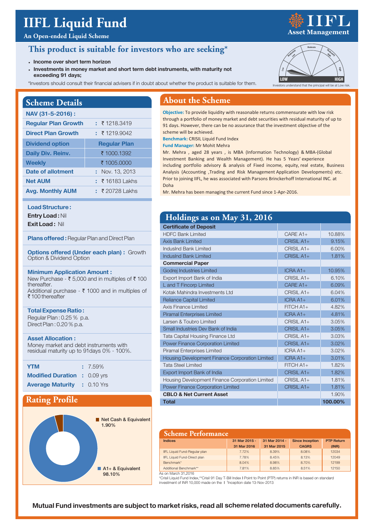# **IIFL Liquid Fund**

### **An Open-ended Liquid Scheme**

### **This product is suitable for investors who are seeking\***

- **Income over short term horizon**
- **Investments in money market and short term debt instruments, with maturity not exceeding 91 days;**
- \*Investors should consult their financial advisers if in doubt about whether the product is suitable for them.

### **Scheme Details**

| NAV (31-5-2016):           |                     |
|----------------------------|---------------------|
| <b>Regular Plan Growth</b> | : 71218.3419        |
| <b>Direct Plan Growth</b>  | : 719.9042          |
| <b>Dividend option</b>     | <b>Regular Plan</b> |
| <b>Daily Div. Reinv.</b>   | ₹ 1000.1392         |
| <b>Weekly</b>              | ₹ 1005.0000         |
| Date of allotment          | Nov. 13, 2013<br>٠. |
| <b>Net AUM</b>             | $: 7161831$ akhs    |
| <b>Avg. Monthly AUM</b>    | $\pm$ ₹ 20728 Lakhs |

### **Load Structure :**

**Entry Load :** Nil

**Exit Load :** Nil

**Plans offered:** Regular Plan and Direct Plan

**Options offered (Under each plan): Growth** Option & Dividend Option

### **Minimum Application Amount :**

New Purchase - ₹ 5,000 and in multiples of ₹ 100 thereafter Additional purchase -  $\bar{\tau}$  1000 and in multiples of ₹ 100 thereafter

### **Total Expense Ratio :** Regular Plan : 0.25 % p.a.

Direct Plan : 0.20 % p.a.

### **Asset Allocation :**

Money market and debt instruments with residual maturity up to 91days 0% - 100%.

| <b>YTM</b>                          | $: 7.59\%$ |
|-------------------------------------|------------|
| <b>Modified Duration : 0.09 yrs</b> |            |
| <b>Average Maturity : 0.10 Yrs</b>  |            |

### **Rating Profile**



### **About the Scheme**

**Objective:** To provide liquidity with reasonable returns commensurate with low risk through a portfolio of money market and debt securities with residual maturity of up to 91 days. However, there can be no assurance that the investment objective of the scheme will be achieved.

**Benchmark:** CRISIL Liquid Fund Index

**Fund Manager:** Mr Mohit Mehra

Mr. Mehra , aged 28 years , is MBA (Information Technology) & MBA-(Global Investment Banking and Wealth Management). He has 5 Years' experience including portfolio advisory & analysis of Fixed income, equity, real estate, Business Analysis (Accounting ,Trading and Risk Management Application Developments) etc. Prior to joining IIFL, he was associated with Parsons Brinckerhoff International INC. at Doha

Mr. Mehra has been managing the current Fund since 1-Apr-2016.

| Holdings as on May 31, 2016                     |              |         |
|-------------------------------------------------|--------------|---------|
| <b>Certificate of Deposit</b>                   |              |         |
| <b>HDFC Bank Limited</b>                        | $CARE A1+$   | 10.88%  |
| Axis Bank Limited                               | $CRISII A1+$ | 9.15%   |
| IndusInd Bank Limited                           | $CRISIL A1+$ | 6.00%   |
| IndusInd Bank Limited                           | CRISIL $A1+$ | 1.81%   |
| <b>Commercial Paper</b>                         |              |         |
| Godrej Industries Limited                       | $ICRAA1+$    | 10.95%  |
| Export Import Bank of India                     | $CRISII A1+$ | 6,10%   |
| L and T Fincorp Limited                         | $CARE A1+$   | 6.09%   |
| Kotak Mahindra Investments I td                 | $CRISIL A1+$ | 6.04%   |
| <b>Reliance Capital Limited</b>                 | $ICRAA1+$    | 6.01%   |
| Axis Finance Limited                            | $FITCH A1+$  | 4.82%   |
| Piramal Enterprises Limited                     | $ICRAA1+$    | 4.81%   |
| Larsen & Toubro Limited                         | $CRISII A1+$ | 3.05%   |
| Small Industries Dev Bank of India              | CRISIL A1+   | 3.05%   |
| <b>Tata Capital Housing Finance Ltd</b>         | $CRISII A1+$ | 3.03%   |
| Power Finance Corporation Limited               | CRISIL $A1+$ | 3.02%   |
| Piramal Enterprises Limited                     | $ICRA A1+$   | 3.02%   |
| Housing Development Finance Corporation Limited | $ICRAA1+$    | 3.01%   |
| Tata Steel Limited                              | $FITCH A1+$  | 1.82%   |
| Export Import Bank of India                     | CRISIL $A1+$ | 1.82%   |
| Housing Development Finance Corporation Limited | $CRISIL A1+$ | 1.81%   |
| <b>Power Finance Corporation Limited</b>        | CRISIL A1+   | 1.81%   |
| <b>CBLO &amp; Net Current Asset</b>             |              | 1.90%   |
| <b>Total</b>                                    |              | 100.00% |

#### **Indices 31 Mar 2015 - 31 Mar 2014 - Since Inception PTP Return 31 Mar 2016 31 Mar 2015 CAGR\$ (INR)** IIFL Liquid Fund-Regular plan 7.72% 8.39% 8.08% 12034 IIFL Liquid Fund-Direct plan 7.78% 8.45% 8.13% 12049 Benchmark\* 8.04% 8.98% 8.70% 12199 Additional Benchmark\*\* 1990 12150 12150 12150 12150 12150 12150 12150 12150 12150 **Scheme Performance**

As on March 31,2016

\*Crisil Liquid Fund Index,\*\*Crisil 91 Day T-Bill Index **|** Point to Point (PTP) returns in INR is based on standard investment of INR 10,000 made on the **|** Sinception date 13-Nov-2013



**LOW HIGH**

tors understand that the principal will be at Low



### **Mutual Fund investments are subject to market risks, read all scheme related documents carefully.**